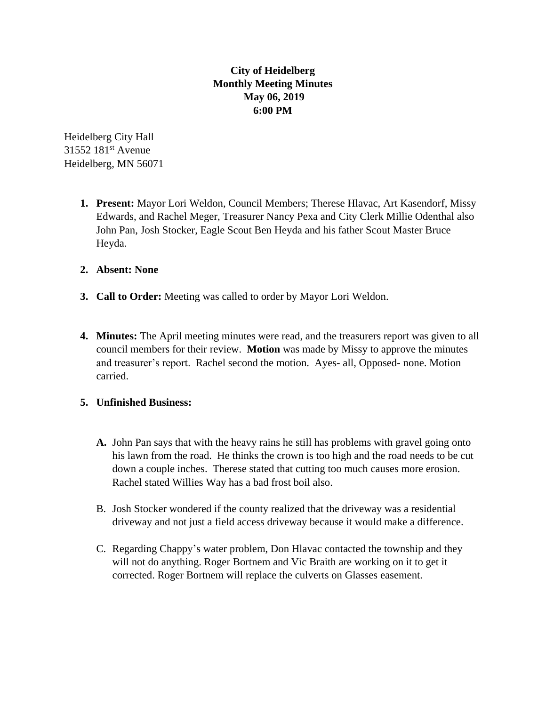## **City of Heidelberg Monthly Meeting Minutes May 06, 2019 6:00 PM**

Heidelberg City Hall 31552 181st Avenue Heidelberg, MN 56071

- **1. Present:** Mayor Lori Weldon, Council Members; Therese Hlavac, Art Kasendorf, Missy Edwards, and Rachel Meger, Treasurer Nancy Pexa and City Clerk Millie Odenthal also John Pan, Josh Stocker, Eagle Scout Ben Heyda and his father Scout Master Bruce Heyda.
- **2. Absent: None**
- **3. Call to Order:** Meeting was called to order by Mayor Lori Weldon.
- **4. Minutes:** The April meeting minutes were read, and the treasurers report was given to all council members for their review. **Motion** was made by Missy to approve the minutes and treasurer's report. Rachel second the motion. Ayes- all, Opposed- none. Motion carried.

## **5. Unfinished Business:**

- **A.** John Pan says that with the heavy rains he still has problems with gravel going onto his lawn from the road. He thinks the crown is too high and the road needs to be cut down a couple inches. Therese stated that cutting too much causes more erosion. Rachel stated Willies Way has a bad frost boil also.
- B. Josh Stocker wondered if the county realized that the driveway was a residential driveway and not just a field access driveway because it would make a difference.
- C. Regarding Chappy's water problem, Don Hlavac contacted the township and they will not do anything. Roger Bortnem and Vic Braith are working on it to get it corrected. Roger Bortnem will replace the culverts on Glasses easement.